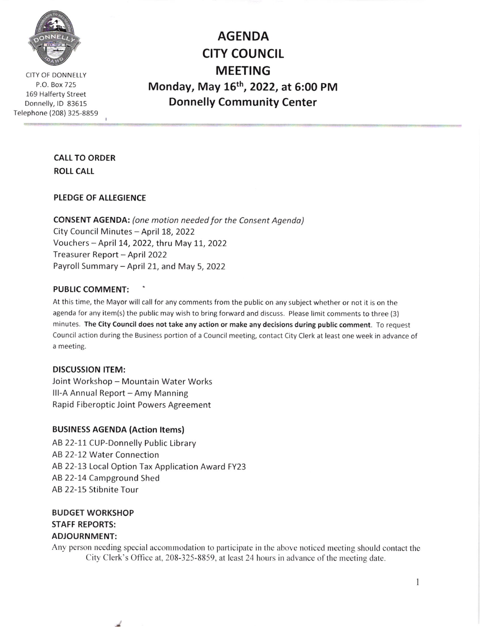

CITY OF DONNELLY P.O. Box 725 169 Halferty Street Donnelly, lD 83615 Telephone (208) 325-8859

AGENDA CITY COUNCIL MEETING Monday, May 15th, 2022, at 6:00 PM Donnelly Community Center

## CALL TO ORDER **ROLL CALL**

#### PLEDGE OF ALLEGIENCE

CONSENT AGENDA: (one motion needed for the Consent Agendo) City Council Minutes - April 18, 2022 Vouchers - April 14, 2022, thru May 11, 2022 Treasurer Report - April 2022 Payroll Summary - April 21, and May 5, 2022

#### PUBLIC COMMENT:

At this time, the Mayor will call for any comments from the public on any subject whether or not it is on the agenda for any item(s) the public maywish to bring forward and discuss. Please limit comments to three (3) minutes. The City Council does not take any action or make any decisions during public comment. To request Council action during the Business portion of a Council meeting, contact City Clerk at least one week in advance of a meeting.

#### DISCUSSION ITEM:

Joint Workshop - Mountain Water Works III-A Annual Report - Amy Manning Rapid Fiberoptic Joint Powers Agreement

#### BUSINESS AGENDA (Action ltems)

لحد

AB 22-11 CUP-Donnelly Public Library AB 22-12 Water Connection AB 22-13 Local Option Tax Application Award FY23 AB 22-14 Campground Shed AB 22-15 Stibnite Tour

#### BUDGET WORKSHOP STAFF REPORTS: ADJOURNMENT:

Any person needing special accommodation to participate in the above noticed meeting should contact the City Clerk's Office at, 208-325-8859, at least 24 hours in advance of the meeting date.

I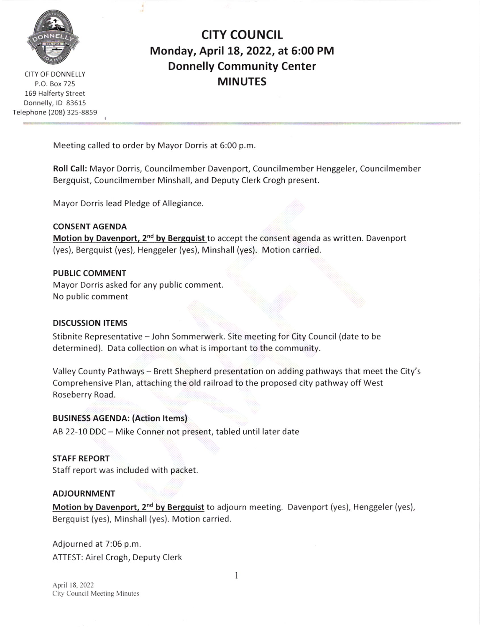

CITY OF DONNELLY P.O. Box 725 169 Halferty Street Donnelly, ID 83615 Telephone (208) 325-8859

# CITY COUNCIL Monday, Apri! 18, 2022, at 5:00 PM Donnelly Community Center MINUTES

Meeting called to order by Mayor Dorris at 6:00 p.m

Roll Call: Mayor Dorris, Councilmember Davenport, Councilmember Henggeler, Councilmember Bergquist, Councilmember Minshall, and Deputy Clerk Crogh present.

Mayor Dorris lead Pledge of Allegiance.

CONSENT AGENDA Motion by Davenport, 2<sup>nd</sup> by Bergquist to accept the consent agenda as written. Davenport (yes), Bergquist (yes), Henggeler (yes), Minshall (yes). Motion carried.

#### PUBLIC COMMENT

Mayor Dorris asked for any public comment No public comment

## DISCUSSION ITEMS

Stibnite Representative - John Sommerwerk. Site meeting for City Council (date to be determined). Data collection on what is important to the community.

Valley County Pathways - Brett Shepherd presentation on adding pathways that meet the City's Comprehensive Plan, attaching the old railroad to the proposed city pathway off West Roseberry Road.

## BUSINESS AGENDA: (Action ltems)

AB 22-10 DDC - Mike Conner not present, tabled until later date

## STAFF REPORT

Staff report was included with packet.

#### ADJOURNMENT

Motion by Davenport, 2<sup>nd</sup> by Bergquist to adjourn meeting. Davenport (yes), Henggeler (yes), Bergquist (yes), Minshall (yes). Motion carried

Adjourned at 7:06 p.m. ATTEST: Airel Crogh, Deputy Clerk

I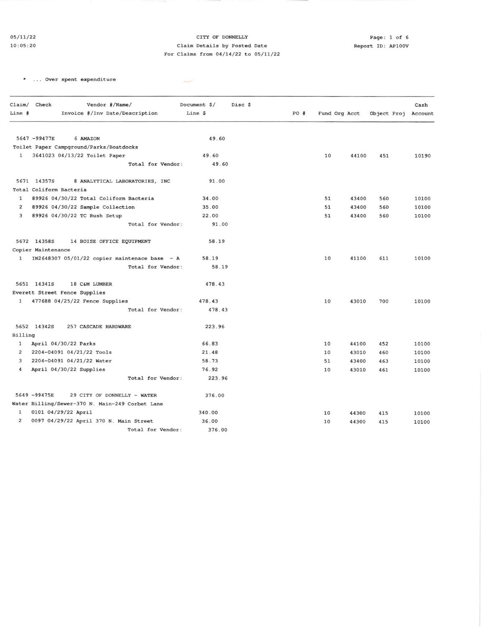#### CITY OF DONNELLY Claim Details by Posted Date For Claims from  $04/14/22$  to  $05/11/22$

 $\label{eq:1} \frac{d\mu_{\rm{d}}\left(\mu_{\rm{d}}\right)}{d\mu_{\rm{d}}\left(\mu_{\rm{d}}\right)}\frac{d\mu_{\rm{d}}}{d\mu_{\rm{d}}}\frac{d\mu_{\rm{d}}}{d\mu_{\rm{d}}}\frac{d\mu_{\rm{d}}}{d\mu_{\rm{d}}}\frac{d\mu_{\rm{d}}}{d\mu_{\rm{d}}}\frac{d\mu_{\rm{d}}}{d\mu_{\rm{d}}}\frac{d\mu_{\rm{d}}}{d\mu_{\rm{d}}}\frac{d\mu_{\rm{d}}}{d\mu_{\rm{d}}}\frac{d\mu_{\rm{d$ 

\* ... Over spent expenditure

|                | Claim/ Check       | Vendor #/Name/                                  |                   | Document \$/ | Disc \$ |     |               |       |                     | Cash  |
|----------------|--------------------|-------------------------------------------------|-------------------|--------------|---------|-----|---------------|-------|---------------------|-------|
| Line #         |                    | Invoice #/Inv Date/Description                  |                   | Line \$      |         | PO# | Fund Org Acct |       | Object Proj Account |       |
|                |                    |                                                 |                   |              |         |     |               |       |                     |       |
|                | 5647 -99477E       | 6 AMAZON                                        |                   | 49.60        |         |     |               |       |                     |       |
|                |                    | Toilet Paper Campground/Parks/Boatdocks         |                   |              |         |     |               |       |                     |       |
| 1              |                    | 3641023 04/13/22 Toilet Paper                   |                   | 49.60        |         |     | 10            | 44100 | 451                 | 10190 |
|                |                    |                                                 | Total for Vendor: | 49.60        |         |     |               |       |                     |       |
|                | 5671 14357S        | 8 ANALYTICAL LABORATORIES, INC                  |                   | 91.00        |         |     |               |       |                     |       |
|                |                    | Total Coliform Bacteria                         |                   |              |         |     |               |       |                     |       |
| $\mathbf{1}$   |                    | 89926 04/30/22 Total Coliform Bacteria          |                   | 34.00        |         |     | 51            | 43400 | 560                 | 10100 |
| $\overline{c}$ |                    | 89926 04/30/22 Sample Collection                |                   | 35.00        |         |     | 51            | 43400 | 560                 | 10100 |
| 3              |                    | 89926 04/30/22 TC Rush Setup                    |                   | 22.00        |         |     | 51            | 43400 | 560                 | 10100 |
|                |                    |                                                 | Total for Vendor: | 91.00        |         |     |               |       |                     |       |
|                | 5672 143585        | 14 BOISE OFFICE EQUIPMENT                       |                   | 58.19        |         |     |               |       |                     |       |
|                | Copier Maintenance |                                                 |                   |              |         |     |               |       |                     |       |
| $\mathbf{1}$   |                    | IN2648307 05/01/22 copier maintenace base - A   |                   | 58.19        |         |     | 10            | 41100 | 611                 | 10100 |
|                |                    |                                                 | Total for Vendor: | 58.19        |         |     |               |       |                     |       |
|                | 5651 14341S        | 18 C&M LUMBER                                   |                   | 478.43       |         |     |               |       |                     |       |
|                |                    | Everett Street Fence Supplies                   |                   |              |         |     |               |       |                     |       |
| 1              |                    | 477688 04/25/22 Fence Supplies                  |                   | 478.43       |         |     | 10            | 43010 | 700                 | 10100 |
|                |                    |                                                 | Total for Vendor: | 478.43       |         |     |               |       |                     |       |
|                | 5652 14342S        | 257 CASCADE HARDWARE                            |                   | 223.96       |         |     |               |       |                     |       |
| Billing        |                    |                                                 |                   |              |         |     |               |       |                     |       |
| 1              |                    | April 04/30/22 Parks                            |                   | 66.83        |         |     | 10            | 44100 | 452                 | 10100 |
| $\overline{2}$ |                    | 2204-04091 04/21/22 Tools                       |                   | 21.48        |         |     | 10            | 43010 | 460                 | 10100 |
| 3              |                    | 2204-04091 04/21/22 Water                       |                   | 58.73        |         |     | 51            | 43400 | 463                 | 10100 |
| 4              |                    | April 04/30/22 Supplies                         |                   | 76.92        |         |     | 10            | 43010 | 461                 | 10100 |
|                |                    |                                                 | Total for Vendor: | 223.96       |         |     |               |       |                     |       |
|                | 5649 -99475E       | 29 CITY OF DONNELLY - WATER                     |                   | 376.00       |         |     |               |       |                     |       |
|                |                    | Water Billing/Sewer-370 N. Main-249 Corbet Lane |                   |              |         |     |               |       |                     |       |
| 1              |                    | 0101 04/29/22 April                             |                   | 340.00       |         |     | 10            | 44300 | 415                 | 10100 |
| 2              |                    | 0097 04/29/22 April 370 N. Main Street          |                   | 36.00        |         |     | 10            | 44300 | 415                 | 10100 |
|                |                    |                                                 | Total for Vendor: | 376.00       |         |     |               |       |                     |       |